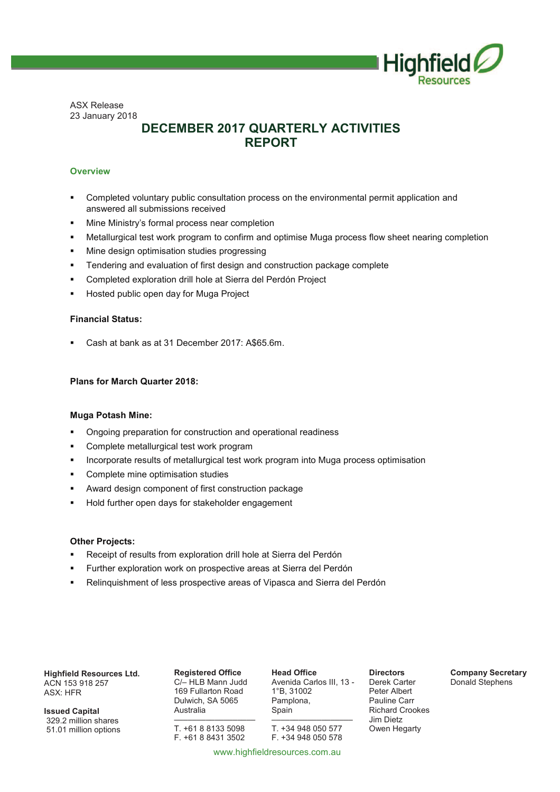

ASX Release 23 January 2018

## **DECEMBER 2017 QUARTERLY ACTIVITIES REPORT**

#### **Overview**

- Completed voluntary public consultation process on the environmental permit application and answered all submissions received
- Mine Ministry's formal process near completion
- **■** Metallurgical test work program to confirm and optimise Muga process flow sheet nearing completion
- **Mine design optimisation studies progressing**
- § Tendering and evaluation of first design and construction package complete
- § Completed exploration drill hole at Sierra del Perdón Project
- § Hosted public open day for Muga Project

#### **Financial Status:**

§ Cash at bank as at 31 December 2017: A\$65.6m.

#### **Plans for March Quarter 2018:**

#### **Muga Potash Mine:**

- § Ongoing preparation for construction and operational readiness
- § Complete metallurgical test work program
- § Incorporate results of metallurgical test work program into Muga process optimisation
- § Complete mine optimisation studies
- § Award design component of first construction package
- § Hold further open days for stakeholder engagement

#### **Other Projects:**

- Receipt of results from exploration drill hole at Sierra del Perdón
- § Further exploration work on prospective areas at Sierra del Perdón
- Relinquishment of less prospective areas of Vipasca and Sierra del Perdón

**Highfield Resources Ltd.** ACN 153 918 257 ASX: HFR

**Issued Capital**  329.2 million shares 51.01 million options

**Registered Office**  C/– HLB Mann Judd 169 Fullarton Road Dulwich, SA 5065 Australia

––––––––––––––––––

T. +61 8 8133 5098 F. +61 8 8431 3502 **Head Office**  Avenida Carlos III, 13 - 1°B, 31002 Pamplona, Spain

–––––––––––––––––– T. +34 948 050 577 F. +34 948 050 578

**Directors**  Derek Carter Peter Albert Pauline Carr Richard Crookes Jim Dietz Owen Hegarty

**Company Secretary**  Donald Stephens

www.highfieldresources.com.au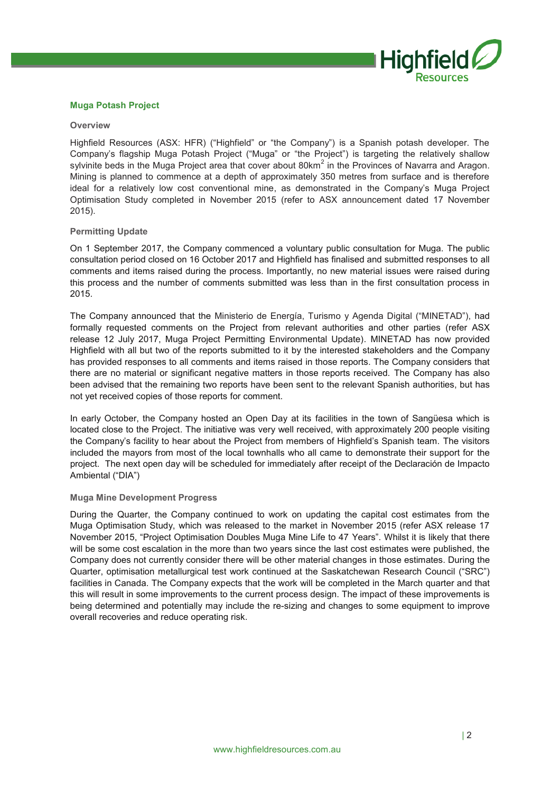

#### **Muga Potash Project**

#### **Overview**

Highfield Resources (ASX: HFR) ("Highfield" or "the Company") is a Spanish potash developer. The Company's flagship Muga Potash Project ("Muga" or "the Project") is targeting the relatively shallow sylvinite beds in the Muga Project area that cover about 80km<sup>2</sup> in the Provinces of Navarra and Aragon. Mining is planned to commence at a depth of approximately 350 metres from surface and is therefore ideal for a relatively low cost conventional mine, as demonstrated in the Company's Muga Project Optimisation Study completed in November 2015 (refer to ASX announcement dated 17 November 2015).

#### **Permitting Update**

On 1 September 2017, the Company commenced a voluntary public consultation for Muga. The public consultation period closed on 16 October 2017 and Highfield has finalised and submitted responses to all comments and items raised during the process. Importantly, no new material issues were raised during this process and the number of comments submitted was less than in the first consultation process in 2015.

The Company announced that the Ministerio de Energía, Turismo y Agenda Digital ("MINETAD"), had formally requested comments on the Project from relevant authorities and other parties (refer ASX release 12 July 2017, Muga Project Permitting Environmental Update). MINETAD has now provided Highfield with all but two of the reports submitted to it by the interested stakeholders and the Company has provided responses to all comments and items raised in those reports. The Company considers that there are no material or significant negative matters in those reports received. The Company has also been advised that the remaining two reports have been sent to the relevant Spanish authorities, but has not yet received copies of those reports for comment.

In early October, the Company hosted an Open Day at its facilities in the town of Sangüesa which is located close to the Project. The initiative was very well received, with approximately 200 people visiting the Company's facility to hear about the Project from members of Highfield's Spanish team. The visitors included the mayors from most of the local townhalls who all came to demonstrate their support for the project. The next open day will be scheduled for immediately after receipt of the Declaración de Impacto Ambiental ("DIA")

#### **Muga Mine Development Progress**

During the Quarter, the Company continued to work on updating the capital cost estimates from the Muga Optimisation Study, which was released to the market in November 2015 (refer ASX release 17 November 2015, "Project Optimisation Doubles Muga Mine Life to 47 Years". Whilst it is likely that there will be some cost escalation in the more than two years since the last cost estimates were published, the Company does not currently consider there will be other material changes in those estimates. During the Quarter, optimisation metallurgical test work continued at the Saskatchewan Research Council ("SRC") facilities in Canada. The Company expects that the work will be completed in the March quarter and that this will result in some improvements to the current process design. The impact of these improvements is being determined and potentially may include the re-sizing and changes to some equipment to improve overall recoveries and reduce operating risk.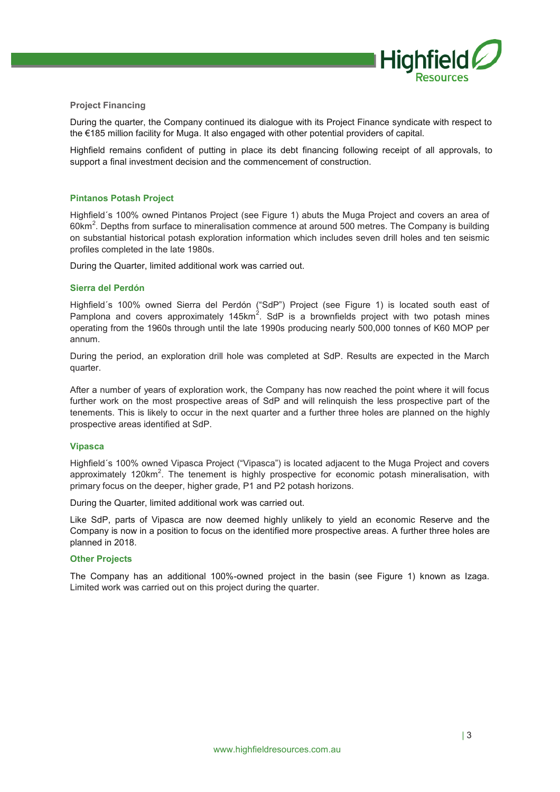

#### **Project Financing**

During the quarter, the Company continued its dialogue with its Project Finance syndicate with respect to the €185 million facility for Muga. It also engaged with other potential providers of capital.

Highfield remains confident of putting in place its debt financing following receipt of all approvals, to support a final investment decision and the commencement of construction.

#### **Pintanos Potash Project**

Highfield´s 100% owned Pintanos Project (see Figure 1) abuts the Muga Project and covers an area of 60km<sup>2</sup>. Depths from surface to mineralisation commence at around 500 metres. The Company is building on substantial historical potash exploration information which includes seven drill holes and ten seismic profiles completed in the late 1980s.

During the Quarter, limited additional work was carried out.

#### **Sierra del Perdón**

Highfield´s 100% owned Sierra del Perdón ("SdP") Project (see Figure 1) is located south east of Pamplona and covers approximately 145km<sup>2</sup>. SdP is a brownfields project with two potash mines operating from the 1960s through until the late 1990s producing nearly 500,000 tonnes of K60 MOP per annum.

During the period, an exploration drill hole was completed at SdP. Results are expected in the March quarter.

After a number of years of exploration work, the Company has now reached the point where it will focus further work on the most prospective areas of SdP and will relinquish the less prospective part of the tenements. This is likely to occur in the next quarter and a further three holes are planned on the highly prospective areas identified at SdP.

#### **Vipasca**

Highfield´s 100% owned Vipasca Project ("Vipasca") is located adjacent to the Muga Project and covers approximately 120km<sup>2</sup>. The tenement is highly prospective for economic potash mineralisation, with primary focus on the deeper, higher grade, P1 and P2 potash horizons.

During the Quarter, limited additional work was carried out.

Like SdP, parts of Vipasca are now deemed highly unlikely to yield an economic Reserve and the Company is now in a position to focus on the identified more prospective areas. A further three holes are planned in 2018.

#### **Other Projects**

The Company has an additional 100%-owned project in the basin (see Figure 1) known as Izaga. Limited work was carried out on this project during the quarter.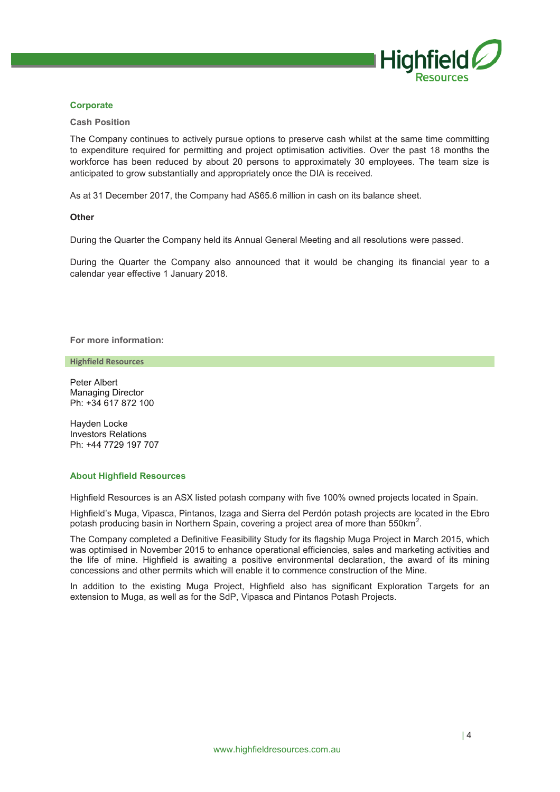

#### **Corporate**

#### **Cash Position**

The Company continues to actively pursue options to preserve cash whilst at the same time committing to expenditure required for permitting and project optimisation activities. Over the past 18 months the workforce has been reduced by about 20 persons to approximately 30 employees. The team size is anticipated to grow substantially and appropriately once the DIA is received.

As at 31 December 2017, the Company had A\$65.6 million in cash on its balance sheet.

#### **Other**

During the Quarter the Company held its Annual General Meeting and all resolutions were passed.

During the Quarter the Company also announced that it would be changing its financial year to a calendar year effective 1 January 2018.

**For more information:** 

**Highfield Resources**

Peter Albert Managing Director Ph: +34 617 872 100

Hayden Locke Investors Relations Ph: +44 7729 197 707

#### **About Highfield Resources**

Highfield Resources is an ASX listed potash company with five 100% owned projects located in Spain.

Highfield's Muga, Vipasca, Pintanos, Izaga and Sierra del Perdón potash projects are located in the Ebro potash producing basin in Northern Spain, covering a project area of more than 550km<sup>2</sup>.

The Company completed a Definitive Feasibility Study for its flagship Muga Project in March 2015, which was optimised in November 2015 to enhance operational efficiencies, sales and marketing activities and the life of mine. Highfield is awaiting a positive environmental declaration, the award of its mining concessions and other permits which will enable it to commence construction of the Mine.

In addition to the existing Muga Project, Highfield also has significant Exploration Targets for an extension to Muga, as well as for the SdP, Vipasca and Pintanos Potash Projects.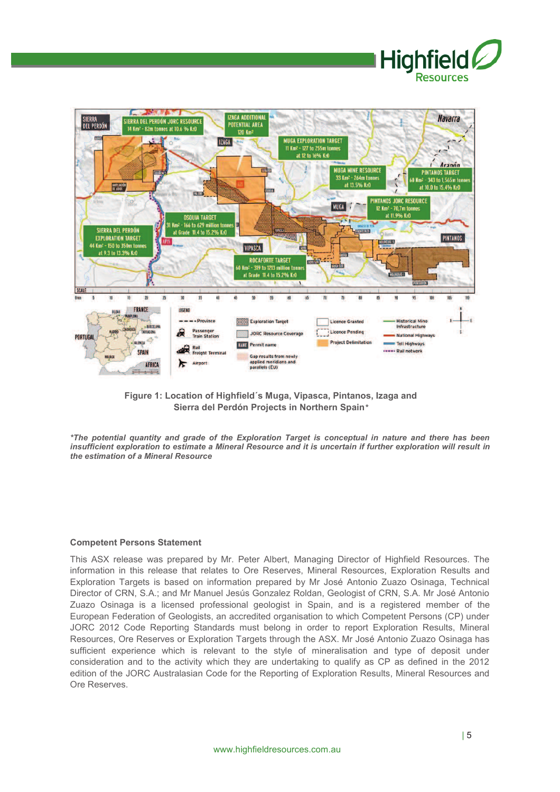



**Figure 1: Location of Highfield´s Muga, Vipasca, Pintanos, Izaga and Sierra del Perdón Projects in Northern Spain***\**

*\*The potential quantity and grade of the Exploration Target is conceptual in nature and there has been insufficient exploration to estimate a Mineral Resource and it is uncertain if further exploration will result in the estimation of a Mineral Resource* 

#### **Competent Persons Statement**

This ASX release was prepared by Mr. Peter Albert, Managing Director of Highfield Resources. The information in this release that relates to Ore Reserves, Mineral Resources, Exploration Results and Exploration Targets is based on information prepared by Mr José Antonio Zuazo Osinaga, Technical Director of CRN, S.A.; and Mr Manuel Jesús Gonzalez Roldan, Geologist of CRN, S.A. Mr José Antonio Zuazo Osinaga is a licensed professional geologist in Spain, and is a registered member of the European Federation of Geologists, an accredited organisation to which Competent Persons (CP) under JORC 2012 Code Reporting Standards must belong in order to report Exploration Results, Mineral Resources, Ore Reserves or Exploration Targets through the ASX. Mr José Antonio Zuazo Osinaga has sufficient experience which is relevant to the style of mineralisation and type of deposit under consideration and to the activity which they are undertaking to qualify as CP as defined in the 2012 edition of the JORC Australasian Code for the Reporting of Exploration Results, Mineral Resources and Ore Reserves.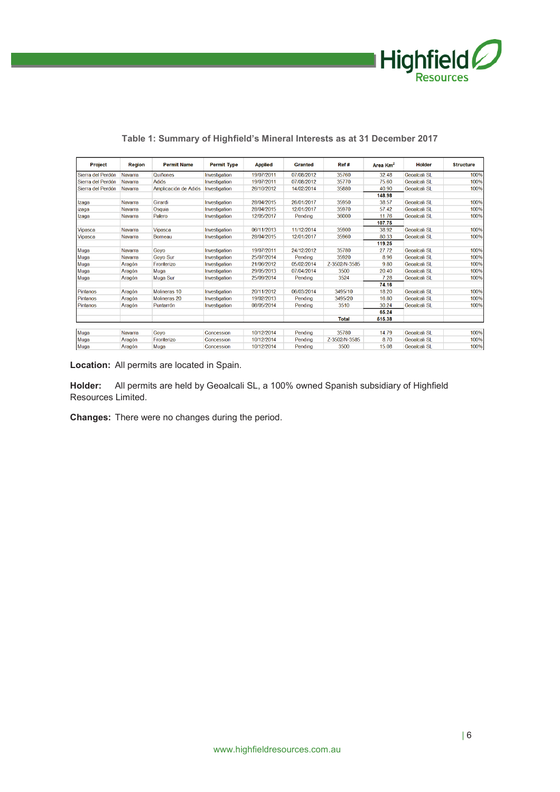

| Project           | <b>Region</b>  | <b>Permit Name</b>   | <b>Permit Type</b> | <b>Applied</b> | Granted    | Ref#          | Area Km <sup>2</sup> | <b>Holder</b>       | <b>Structure</b> |
|-------------------|----------------|----------------------|--------------------|----------------|------------|---------------|----------------------|---------------------|------------------|
| Sierra del Perdón | Navarra        | Quiñones             | Investigation      | 19/07/2011     | 07/08/2012 | 35760         | 32.48                | <b>Geoalcali SL</b> | 100%             |
| Sierra del Perdón | <b>Navarra</b> | <b>Adiós</b>         | Investigation      | 19/07/2011     | 07/08/2012 | 35770         | 75.60                | <b>Geoalcali SL</b> | 100%             |
| Sierra del Perdón | Navarra        | Amplicación de Adiós | Investigation      | 26/10/2012     | 14/02/2014 | 35880         | 40.90                | <b>Geoalcali SL</b> | 100%             |
|                   |                |                      |                    |                |            |               | 148.98               |                     |                  |
| Izaga             | Navarra        | Girardi              | Investigation      | 28/04/2015     | 26/01/2017 | 35950         | 38.57                | Geoalcali SL        | 100%             |
| izaga             | Navarra        | Osquia               | Investigation      | 28/04/2015     | 12/01/2017 | 35970         | 57.42                | <b>Geoalcali SL</b> | 100%             |
| Izaga             | Navarra        | Palero               | Investigation      | 12/05/2017     | Pendina    | 36000         | 11.76                | Geoalcali SL        | 100%             |
|                   |                |                      |                    |                |            |               | 107.75               |                     |                  |
| Vipasca           | Navarra        | <b>Vipasca</b>       | Investigation      | 06/11/2013     | 11/12/2014 | 35900         | 38.92                | Geoalcali SL        | 100%             |
| <b>Vipasca</b>    | <b>Navarra</b> | Borneau              | Investigation      | 28/04/2015     | 12/01/2017 | 35960         | 80.33                | Geoalcali SL        | 100%             |
|                   |                |                      |                    |                |            |               | 119.25               |                     |                  |
| Muga              | Navarra        | Goyo                 | Investigation      | 19/07/2011     | 24/12/2012 | 35780         | 27.72                | <b>Geoalcali SL</b> | 100%             |
| Muga              | Navarra        | <b>Govo Sur</b>      | Investigation      | 25/07/2014     | Pendina    | 35920         | 8.96                 | Geoalcali SL        | 100%             |
| Muga              | Aragón         | Fronterizo           | Investigation      | 21/06/2012     | 05/02/2014 | Z-3502/N-3585 | 9.80                 | Geoalcali SL        | 100%             |
| Muga              | Aragón         | Muga                 | Investigation      | 29/05/2013     | 07/04/2014 | 3500          | 20.40                | Geoalcali SL        | 100%             |
| Muga              | Aragón         | Muga Sur             | Investigation      | 25/09/2014     | Pending    | 3524          | 7.28                 | Geoalcali SL        | 100%             |
|                   |                |                      |                    |                |            |               | 74.16                |                     |                  |
| Pintanos          | Aragón         | Molineras 10         | Investigation      | 20/11/2012     | 06/03/2014 | 3495/10       | 18.20                | <b>Geoalcali SL</b> | 100%             |
| Pintanos          | Aragón         | Molineras 20         | Investigation      | 19/02/2013     | Pendina    | 3495/20       | 16.80                | Geoalcali SL        | 100%             |
| Pintanos          | Aragón         | Puntarrón            | Investigation      | 08/05/2014     | Pending    | 3510          | 30.24                | Geoalcali SL        | 100%             |
|                   |                |                      |                    |                |            |               | 65.24                |                     |                  |
|                   |                |                      |                    |                |            | <b>Total</b>  | 515.38               |                     |                  |
|                   |                |                      |                    |                |            |               |                      |                     |                  |
| Muga              | Navarra        | Goyo                 | Concession         | 10/12/2014     | Pending    | 35780         | 14.79                | <b>Geoalcali SL</b> | 100%             |
| Muga              | Aragón         | <b>Fronterizo</b>    | Concession         | 10/12/2014     | Pendina    | Z-3502/N-3585 | 8.70                 | Geoalcali SL        | 100%             |
| Muga              | Aragón         | Muga                 | Concession         | 10/12/2014     | Pending    | 3500          | 15.08                | <b>Geoalcali SL</b> | 100%             |

### **Table 1: Summary of Highfield's Mineral Interests as at 31 December 2017**

**Location:** All permits are located in Spain.

**Holder:** All permits are held by Geoalcali SL, a 100% owned Spanish subsidiary of Highfield Resources Limited.

**Changes:** There were no changes during the period.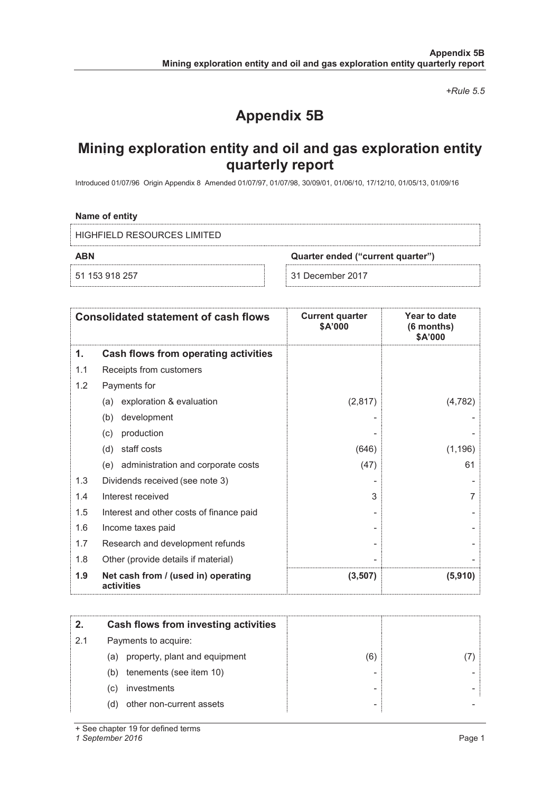*+Rule 5.5* 

# **Appendix 5B**

# **Mining exploration entity and oil and gas exploration entity quarterly report**

Introduced 01/07/96 Origin Appendix 8 Amended 01/07/97, 01/07/98, 30/09/01, 01/06/10, 17/12/10, 01/05/13, 01/09/16

#### **Name of entity**

HIGHFIELD RESOURCES LIMITED

**ABN Quarter ended ("current quarter")**

51 153 918 257 31 December 2017

|     | <b>Consolidated statement of cash flows</b>       | <b>Current quarter</b><br>\$A'000 | Year to date<br>(6 months)<br>\$A'000 |
|-----|---------------------------------------------------|-----------------------------------|---------------------------------------|
| 1.  | Cash flows from operating activities              |                                   |                                       |
| 1.1 | Receipts from customers                           |                                   |                                       |
| 1.2 | Payments for                                      |                                   |                                       |
|     | exploration & evaluation<br>(a)                   | (2,817)                           | (4, 782)                              |
|     | development<br>(b)                                |                                   |                                       |
|     | production<br>(C)                                 |                                   |                                       |
|     | staff costs<br>(d)                                | (646)                             | (1, 196)                              |
|     | (e) administration and corporate costs            | (47)                              | 61                                    |
| 1.3 | Dividends received (see note 3)                   |                                   |                                       |
| 1.4 | Interest received                                 | 3                                 | 7                                     |
| 1.5 | Interest and other costs of finance paid          |                                   |                                       |
| 1.6 | Income taxes paid                                 |                                   |                                       |
| 1.7 | Research and development refunds                  |                                   |                                       |
| 1.8 | Other (provide details if material)               |                                   |                                       |
| 1.9 | Net cash from / (used in) operating<br>activities | (3,507)                           | (5,910)                               |

| 2.  | Cash flows from investing activities |     |  |
|-----|--------------------------------------|-----|--|
| 2.1 | Payments to acquire:                 |     |  |
|     | (a) property, plant and equipment    | (6) |  |
|     | tenements (see item 10)<br>(b)       |     |  |
|     | investments<br>(C)                   |     |  |
|     | other non-current assets<br>(d)      | ٠   |  |

+ See chapter 19 for defined terms

*1 September 2016* Page 1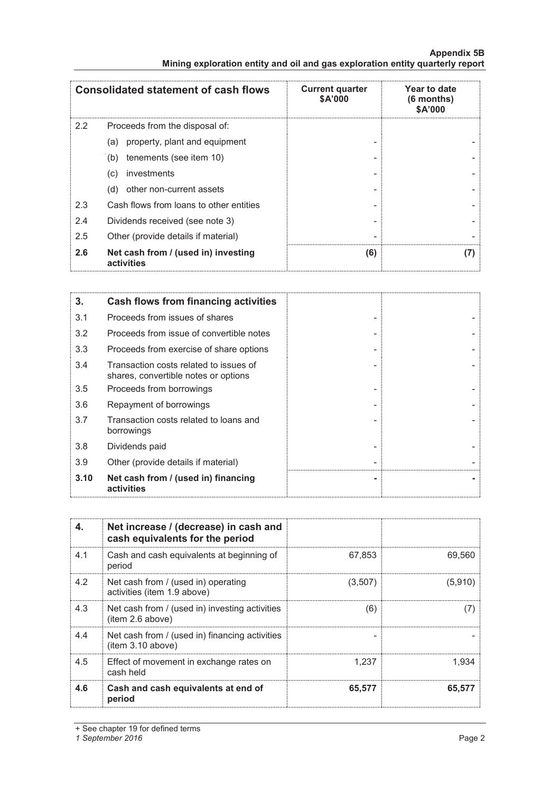| Appendix 5B                                                                   |  |
|-------------------------------------------------------------------------------|--|
| Mining exploration entity and oil and gas exploration entity quarterly report |  |

|     | <b>Consolidated statement of cash flows</b>       | <b>Current quarter</b><br>\$A'000 | Year to date<br>(6 months)<br>\$A'000 |
|-----|---------------------------------------------------|-----------------------------------|---------------------------------------|
| 2.2 | Proceeds from the disposal of:                    |                                   |                                       |
|     | property, plant and equipment<br>(a)              |                                   |                                       |
|     | tenements (see item 10)<br>(b)                    |                                   |                                       |
|     | investments<br>(c)                                |                                   |                                       |
|     | other non-current assets<br>(d)                   |                                   |                                       |
| 2.3 | Cash flows from loans to other entities           |                                   |                                       |
| 2.4 | Dividends received (see note 3)                   |                                   |                                       |
| 2.5 | Other (provide details if material)               | $\overline{\phantom{0}}$          |                                       |
| 2.6 | Net cash from / (used in) investing<br>activities | (6)                               | (7)                                   |

| 3.   | Cash flows from financing activities                                           |  |
|------|--------------------------------------------------------------------------------|--|
| 3.1  | Proceeds from issues of shares                                                 |  |
| 3.2  | Proceeds from issue of convertible notes                                       |  |
| 3.3  | Proceeds from exercise of share options                                        |  |
| 3.4  | Transaction costs related to issues of<br>shares, convertible notes or options |  |
| 3.5  | Proceeds from borrowings                                                       |  |
| 3.6  | Repayment of borrowings                                                        |  |
| 3.7  | Transaction costs related to loans and<br>borrowings                           |  |
| 3.8  | Dividends paid                                                                 |  |
| 3.9  | Other (provide details if material)                                            |  |
| 3.10 | Net cash from / (used in) financing<br>activities                              |  |

| 4.  | Net increase / (decrease) in cash and<br>cash equivalents for the period |         |         |
|-----|--------------------------------------------------------------------------|---------|---------|
| 4.1 | Cash and cash equivalents at beginning of<br>period                      | 67.853  | 69,560  |
| 4.2 | Net cash from / (used in) operating<br>activities (item 1.9 above)       | (3,507) | (5,910) |
| 4.3 | Net cash from / (used in) investing activities<br>(item 2.6 above)       | (6)     | (7)     |
| 4.4 | Net cash from / (used in) financing activities<br>item 3.10 above)       |         |         |
| 4.5 | Effect of movement in exchange rates on<br>cash held                     | 1.237   | 1.934   |
| 4.6 | Cash and cash equivalents at end of<br>period                            | 65,577  | 65,577  |

<sup>+</sup> See chapter 19 for defined terms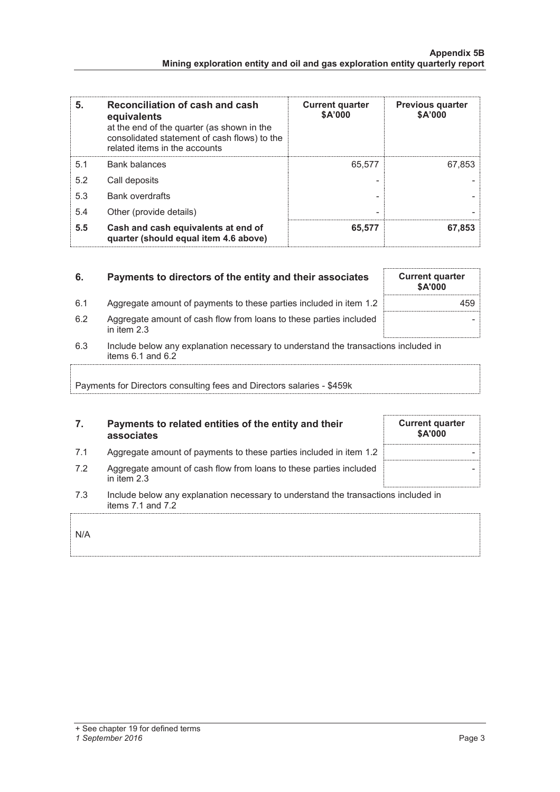| 5.  | Reconciliation of cash and cash<br>equivalents<br>at the end of the quarter (as shown in the<br>consolidated statement of cash flows) to the<br>related items in the accounts | <b>Current quarter</b><br>\$A'000 | <b>Previous quarter</b><br>\$A'000 |
|-----|-------------------------------------------------------------------------------------------------------------------------------------------------------------------------------|-----------------------------------|------------------------------------|
| 5.1 | <b>Bank balances</b>                                                                                                                                                          | 65,577                            | 67,853                             |
| 5.2 | Call deposits                                                                                                                                                                 |                                   |                                    |
| 5.3 | <b>Bank overdrafts</b>                                                                                                                                                        |                                   |                                    |
| 5.4 | Other (provide details)                                                                                                                                                       | -                                 |                                    |
| 5.5 | Cash and cash equivalents at end of<br>quarter (should equal item 4.6 above)                                                                                                  | 65,577                            | 67,853                             |

| 6.  | Payments to directors of the entity and their associates                                                    | <b>Current quarter</b><br>\$A'000 |
|-----|-------------------------------------------------------------------------------------------------------------|-----------------------------------|
| 6.1 | Aggregate amount of payments to these parties included in item 1.2                                          | 459.                              |
| 6.2 | Aggregate amount of cash flow from loans to these parties included<br>in item $2.3$                         |                                   |
| 6.3 | Include below any explanation necessary to understand the transactions included in<br>items $6.1$ and $6.2$ |                                   |
|     |                                                                                                             |                                   |

Payments for Directors consulting fees and Directors salaries - \$459k

## **7. Payments to related entities of the entity and their associates**

- 7.1 Aggregate amount of payments to these parties included in item 1.2
- 7.2 Aggregate amount of cash flow from loans to these parties included in item 2.3
- 7.3 Include below any explanation necessary to understand the transactions included in items 7.1 and 7.2

## N/A

#### *1 September 2016* Page 3

|  | <b>Current quarter</b> | \$A'000 |  |
|--|------------------------|---------|--|
|  |                        |         |  |
|  |                        |         |  |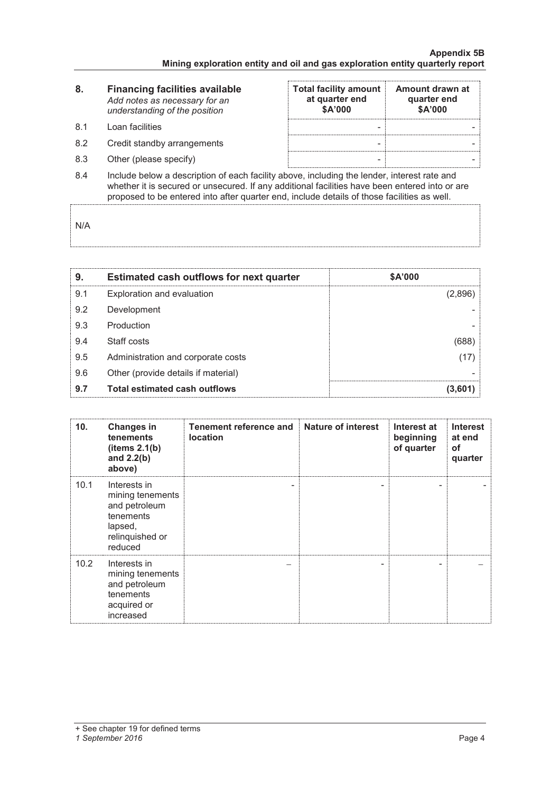| 8.   | <b>Financing facilities available</b><br>Add notes as necessary for an<br>understanding of the position | <b>Total facility amount</b><br>at quarter end<br>\$A'000 | Amount drawn at<br>quarter end<br>\$A'000 |
|------|---------------------------------------------------------------------------------------------------------|-----------------------------------------------------------|-------------------------------------------|
| .8.1 | Loan facilities                                                                                         |                                                           |                                           |
| 8.2  | Credit standby arrangements                                                                             |                                                           |                                           |
| 8.3  | Other (please specify)                                                                                  | -                                                         |                                           |
|      |                                                                                                         |                                                           |                                           |

8.4 Include below a description of each facility above, including the lender, interest rate and whether it is secured or unsecured. If any additional facilities have been entered into or are proposed to be entered into after quarter end, include details of those facilities as well.

N/A

| 9.  | <b>Estimated cash outflows for next quarter</b> | \$A'000 |
|-----|-------------------------------------------------|---------|
| 9.1 | Exploration and evaluation                      | (2,896) |
| 9.2 | Development                                     |         |
| 9.3 | Production                                      |         |
| 9.4 | Staff costs                                     | (688)   |
| 9.5 | Administration and corporate costs              | (17)    |
| 9.6 | Other (provide details if material)             |         |
| 9.7 | <b>Total estimated cash outflows</b>            | (3,601) |

| 10.  | <b>Changes in</b><br>tenements<br>(items 2.1(b)<br>and $2.2(b)$<br>above)                               | Tenement reference and<br><b>location</b> | <b>Nature of interest</b> | Interest at<br>beginning<br>of quarter | <b>Interest</b><br>at end<br>οf<br>quarter |
|------|---------------------------------------------------------------------------------------------------------|-------------------------------------------|---------------------------|----------------------------------------|--------------------------------------------|
| 10.1 | Interests in<br>mining tenements<br>and petroleum<br>tenements<br>lapsed,<br>relinquished or<br>reduced | -                                         |                           |                                        |                                            |
| 10.2 | Interests in<br>mining tenements<br>and petroleum<br>tenements<br>acquired or<br>increased              |                                           |                           |                                        |                                            |